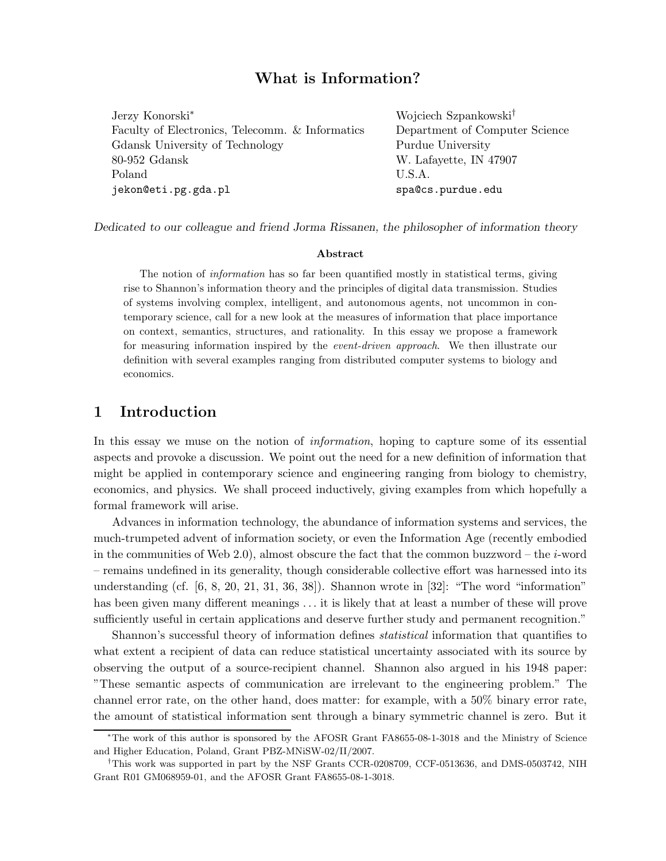# What is Information?

| Jerzy Konorski*                                 | Wojciech Szpankowski <sup>†</sup> |
|-------------------------------------------------|-----------------------------------|
| Faculty of Electronics, Telecomm. & Informatics | Department of Computer Science    |
| Gdansk University of Technology                 | Purdue University                 |
| $80-952$ Gdansk                                 | W. Lafayette, IN 47907            |
| Poland                                          | U.S.A.                            |
| jekon@eti.pg.gda.pl                             | spa@cs.purdue.edu                 |

Dedicated to our colleague and friend Jorma Rissanen, the philosopher of information theory

#### Abstract

The notion of *information* has so far been quantified mostly in statistical terms, giving rise to Shannon's information theory and the principles of digital data transmission. Studies of systems involving complex, intelligent, and autonomous agents, not uncommon in contemporary science, call for a new look at the measures of information that place importance on context, semantics, structures, and rationality. In this essay we propose a framework for measuring information inspired by the *event-driven approach*. We then illustrate our definition with several examples ranging from distributed computer systems to biology and economics.

## 1 Introduction

In this essay we muse on the notion of *information*, hoping to capture some of its essential aspects and provoke a discussion. We point out the need for a new definition of information that might be applied in contemporary science and engineering ranging from biology to chemistry, economics, and physics. We shall proceed inductively, giving examples from which hopefully a formal framework will arise.

Advances in information technology, the abundance of information systems and services, the much-trumpeted advent of information society, or even the Information Age (recently embodied in the communities of Web 2.0), almost obscure the fact that the common buzzword – the  $i$ -word – remains undefined in its generality, though considerable collective effort was harnessed into its understanding (cf. [6, 8, 20, 21, 31, 36, 38]). Shannon wrote in [32]: "The word "information" has been given many different meanings ... it is likely that at least a number of these will prove sufficiently useful in certain applications and deserve further study and permanent recognition."

Shannon's successful theory of information defines statistical information that quantifies to what extent a recipient of data can reduce statistical uncertainty associated with its source by observing the output of a source-recipient channel. Shannon also argued in his 1948 paper: "These semantic aspects of communication are irrelevant to the engineering problem." The channel error rate, on the other hand, does matter: for example, with a 50% binary error rate, the amount of statistical information sent through a binary symmetric channel is zero. But it

<sup>∗</sup>The work of this author is sponsored by the AFOSR Grant FA8655-08-1-3018 and the Ministry of Science and Higher Education, Poland, Grant PBZ-MNiSW-02/II/2007.

<sup>†</sup>This work was supported in part by the NSF Grants CCR-0208709, CCF-0513636, and DMS-0503742, NIH Grant R01 GM068959-01, and the AFOSR Grant FA8655-08-1-3018.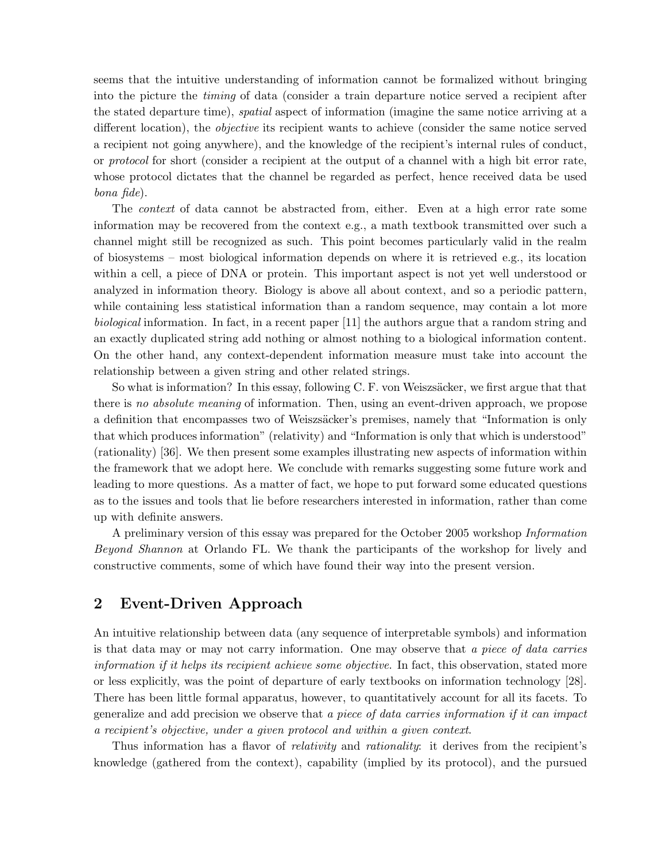seems that the intuitive understanding of information cannot be formalized without bringing into the picture the timing of data (consider a train departure notice served a recipient after the stated departure time), spatial aspect of information (imagine the same notice arriving at a different location), the objective its recipient wants to achieve (consider the same notice served a recipient not going anywhere), and the knowledge of the recipient's internal rules of conduct, or protocol for short (consider a recipient at the output of a channel with a high bit error rate, whose protocol dictates that the channel be regarded as perfect, hence received data be used bona fide).

The context of data cannot be abstracted from, either. Even at a high error rate some information may be recovered from the context e.g., a math textbook transmitted over such a channel might still be recognized as such. This point becomes particularly valid in the realm of biosystems – most biological information depends on where it is retrieved e.g., its location within a cell, a piece of DNA or protein. This important aspect is not yet well understood or analyzed in information theory. Biology is above all about context, and so a periodic pattern, while containing less statistical information than a random sequence, may contain a lot more biological information. In fact, in a recent paper [11] the authors argue that a random string and an exactly duplicated string add nothing or almost nothing to a biological information content. On the other hand, any context-dependent information measure must take into account the relationship between a given string and other related strings.

So what is information? In this essay, following  $C$ . F. von Weiszsäcker, we first argue that that there is no absolute meaning of information. Then, using an event-driven approach, we propose a definition that encompasses two of Weiszsäcker's premises, namely that "Information is only that which produces information" (relativity) and "Information is only that which is understood" (rationality) [36]. We then present some examples illustrating new aspects of information within the framework that we adopt here. We conclude with remarks suggesting some future work and leading to more questions. As a matter of fact, we hope to put forward some educated questions as to the issues and tools that lie before researchers interested in information, rather than come up with definite answers.

A preliminary version of this essay was prepared for the October 2005 workshop Information Beyond Shannon at Orlando FL. We thank the participants of the workshop for lively and constructive comments, some of which have found their way into the present version.

### 2 Event-Driven Approach

An intuitive relationship between data (any sequence of interpretable symbols) and information is that data may or may not carry information. One may observe that a piece of data carries information if it helps its recipient achieve some objective. In fact, this observation, stated more or less explicitly, was the point of departure of early textbooks on information technology [28]. There has been little formal apparatus, however, to quantitatively account for all its facets. To generalize and add precision we observe that a piece of data carries information if it can impact a recipient's objective, under a given protocol and within a given context.

Thus information has a flavor of *relativity* and *rationality*: it derives from the recipient's knowledge (gathered from the context), capability (implied by its protocol), and the pursued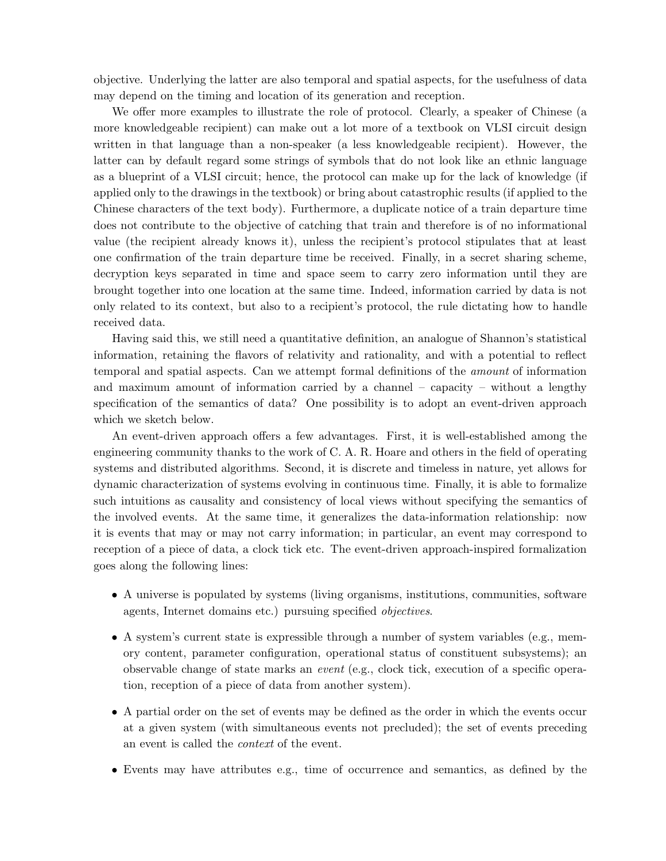objective. Underlying the latter are also temporal and spatial aspects, for the usefulness of data may depend on the timing and location of its generation and reception.

We offer more examples to illustrate the role of protocol. Clearly, a speaker of Chinese (a more knowledgeable recipient) can make out a lot more of a textbook on VLSI circuit design written in that language than a non-speaker (a less knowledgeable recipient). However, the latter can by default regard some strings of symbols that do not look like an ethnic language as a blueprint of a VLSI circuit; hence, the protocol can make up for the lack of knowledge (if applied only to the drawings in the textbook) or bring about catastrophic results (if applied to the Chinese characters of the text body). Furthermore, a duplicate notice of a train departure time does not contribute to the objective of catching that train and therefore is of no informational value (the recipient already knows it), unless the recipient's protocol stipulates that at least one confirmation of the train departure time be received. Finally, in a secret sharing scheme, decryption keys separated in time and space seem to carry zero information until they are brought together into one location at the same time. Indeed, information carried by data is not only related to its context, but also to a recipient's protocol, the rule dictating how to handle received data.

Having said this, we still need a quantitative definition, an analogue of Shannon's statistical information, retaining the flavors of relativity and rationality, and with a potential to reflect temporal and spatial aspects. Can we attempt formal definitions of the amount of information and maximum amount of information carried by a channel – capacity – without a lengthy specification of the semantics of data? One possibility is to adopt an event-driven approach which we sketch below.

An event-driven approach offers a few advantages. First, it is well-established among the engineering community thanks to the work of C. A. R. Hoare and others in the field of operating systems and distributed algorithms. Second, it is discrete and timeless in nature, yet allows for dynamic characterization of systems evolving in continuous time. Finally, it is able to formalize such intuitions as causality and consistency of local views without specifying the semantics of the involved events. At the same time, it generalizes the data-information relationship: now it is events that may or may not carry information; in particular, an event may correspond to reception of a piece of data, a clock tick etc. The event-driven approach-inspired formalization goes along the following lines:

- A universe is populated by systems (living organisms, institutions, communities, software agents, Internet domains etc.) pursuing specified objectives.
- A system's current state is expressible through a number of system variables (e.g., memory content, parameter configuration, operational status of constituent subsystems); an observable change of state marks an event (e.g., clock tick, execution of a specific operation, reception of a piece of data from another system).
- A partial order on the set of events may be defined as the order in which the events occur at a given system (with simultaneous events not precluded); the set of events preceding an event is called the context of the event.
- Events may have attributes e.g., time of occurrence and semantics, as defined by the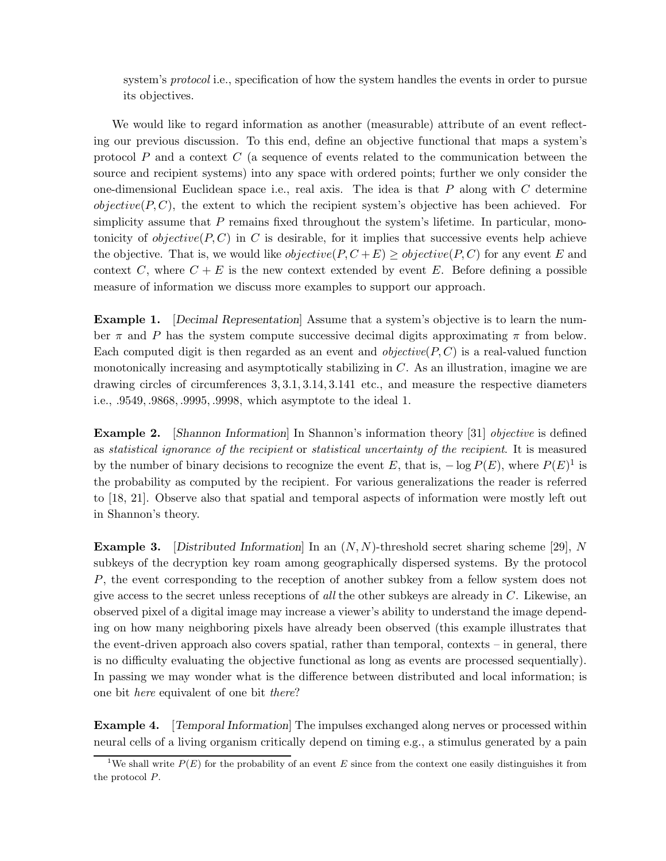system's *protocol* i.e., specification of how the system handles the events in order to pursue its objectives.

We would like to regard information as another (measurable) attribute of an event reflecting our previous discussion. To this end, define an objective functional that maps a system's protocol  $P$  and a context  $C$  (a sequence of events related to the communication between the source and recipient systems) into any space with ordered points; further we only consider the one-dimensional Euclidean space i.e., real axis. The idea is that  $P$  along with  $C$  determine  $objective(P, C)$ , the extent to which the recipient system's objective has been achieved. For simplicity assume that  $P$  remains fixed throughout the system's lifetime. In particular, monotonicity of  $objective(P, C)$  in C is desirable, for it implies that successive events help achieve the objective. That is, we would like  $objective(P, C + E) \ge objective(P, C)$  for any event E and context C, where  $C + E$  is the new context extended by event E. Before defining a possible measure of information we discuss more examples to support our approach.

Example 1. [Decimal Representation] Assume that a system's objective is to learn the number  $\pi$  and P has the system compute successive decimal digits approximating  $\pi$  from below. Each computed digit is then regarded as an event and *objective* $(P, C)$  is a real-valued function monotonically increasing and asymptotically stabilizing in C. As an illustration, imagine we are drawing circles of circumferences 3, 3.1, 3.14, 3.141 etc., and measure the respective diameters i.e., .9549, .9868, .9995, .9998, which asymptote to the ideal 1.

Example 2. [Shannon Information] In Shannon's information theory [31] *objective* is defined as statistical ignorance of the recipient or statistical uncertainty of the recipient. It is measured by the number of binary decisions to recognize the event E, that is,  $-\log P(E)$ , where  $P(E)^{1}$  is the probability as computed by the recipient. For various generalizations the reader is referred to [18, 21]. Observe also that spatial and temporal aspects of information were mostly left out in Shannon's theory.

**Example 3.** [Distributed Information] In an  $(N, N)$ -threshold secret sharing scheme [29], N subkeys of the decryption key roam among geographically dispersed systems. By the protocol P, the event corresponding to the reception of another subkey from a fellow system does not give access to the secret unless receptions of all the other subkeys are already in C. Likewise, an observed pixel of a digital image may increase a viewer's ability to understand the image depending on how many neighboring pixels have already been observed (this example illustrates that the event-driven approach also covers spatial, rather than temporal, contexts – in general, there is no difficulty evaluating the objective functional as long as events are processed sequentially). In passing we may wonder what is the difference between distributed and local information; is one bit here equivalent of one bit there?

**Example 4.** [Temporal Information] The impulses exchanged along nerves or processed within neural cells of a living organism critically depend on timing e.g., a stimulus generated by a pain

<sup>&</sup>lt;sup>1</sup>We shall write  $P(E)$  for the probability of an event E since from the context one easily distinguishes it from the protocol P.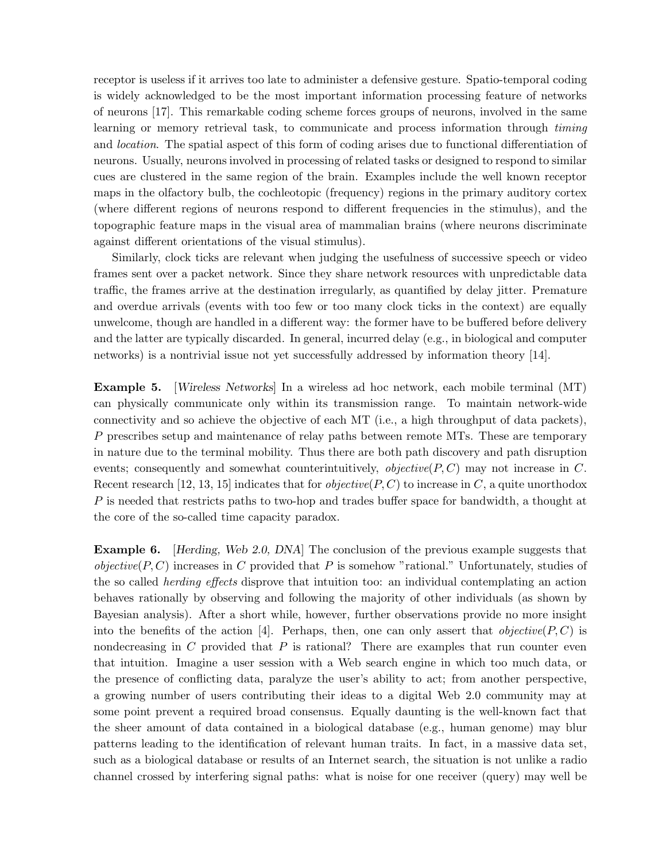receptor is useless if it arrives too late to administer a defensive gesture. Spatio-temporal coding is widely acknowledged to be the most important information processing feature of networks of neurons [17]. This remarkable coding scheme forces groups of neurons, involved in the same learning or memory retrieval task, to communicate and process information through timing and location. The spatial aspect of this form of coding arises due to functional differentiation of neurons. Usually, neurons involved in processing of related tasks or designed to respond to similar cues are clustered in the same region of the brain. Examples include the well known receptor maps in the olfactory bulb, the cochleotopic (frequency) regions in the primary auditory cortex (where different regions of neurons respond to different frequencies in the stimulus), and the topographic feature maps in the visual area of mammalian brains (where neurons discriminate against different orientations of the visual stimulus).

Similarly, clock ticks are relevant when judging the usefulness of successive speech or video frames sent over a packet network. Since they share network resources with unpredictable data traffic, the frames arrive at the destination irregularly, as quantified by delay jitter. Premature and overdue arrivals (events with too few or too many clock ticks in the context) are equally unwelcome, though are handled in a different way: the former have to be buffered before delivery and the latter are typically discarded. In general, incurred delay (e.g., in biological and computer networks) is a nontrivial issue not yet successfully addressed by information theory [14].

Example 5. [Wireless Networks] In a wireless ad hoc network, each mobile terminal (MT) can physically communicate only within its transmission range. To maintain network-wide connectivity and so achieve the objective of each MT (i.e., a high throughput of data packets), P prescribes setup and maintenance of relay paths between remote MTs. These are temporary in nature due to the terminal mobility. Thus there are both path discovery and path disruption events; consequently and somewhat counterintuitively,  $objective(P, C)$  may not increase in C. Recent research [12, 13, 15] indicates that for *objective*( $P, C$ ) to increase in C, a quite unorthodox P is needed that restricts paths to two-hop and trades buffer space for bandwidth, a thought at the core of the so-called time capacity paradox.

Example 6. [Herding, Web 2.0, DNA] The conclusion of the previous example suggests that *objective*( $P, C$ ) increases in C provided that P is somehow "rational." Unfortunately, studies of the so called herding effects disprove that intuition too: an individual contemplating an action behaves rationally by observing and following the majority of other individuals (as shown by Bayesian analysis). After a short while, however, further observations provide no more insight into the benefits of the action [4]. Perhaps, then, one can only assert that *objective*( $P, C$ ) is nondecreasing in  $C$  provided that  $P$  is rational? There are examples that run counter even that intuition. Imagine a user session with a Web search engine in which too much data, or the presence of conflicting data, paralyze the user's ability to act; from another perspective, a growing number of users contributing their ideas to a digital Web 2.0 community may at some point prevent a required broad consensus. Equally daunting is the well-known fact that the sheer amount of data contained in a biological database (e.g., human genome) may blur patterns leading to the identification of relevant human traits. In fact, in a massive data set, such as a biological database or results of an Internet search, the situation is not unlike a radio channel crossed by interfering signal paths: what is noise for one receiver (query) may well be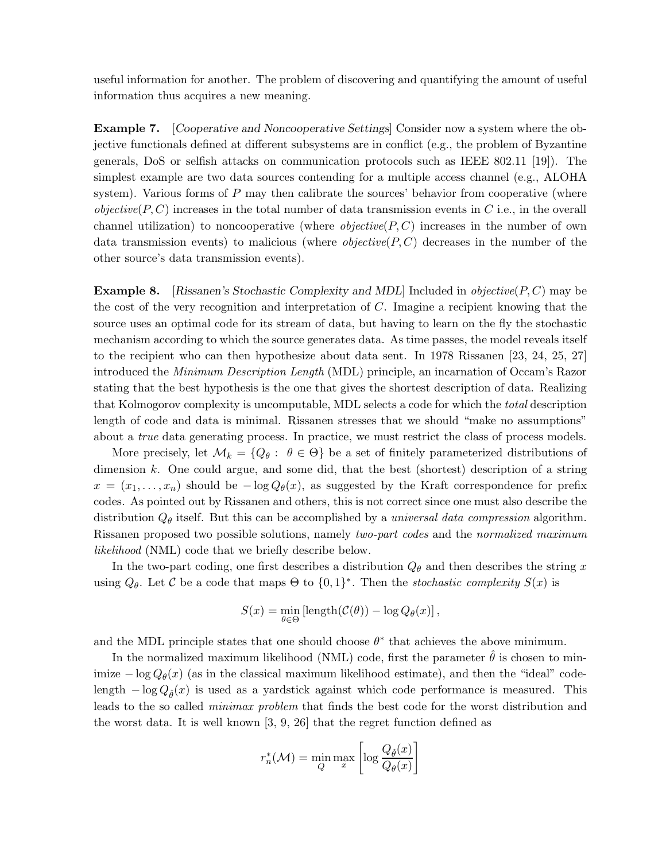useful information for another. The problem of discovering and quantifying the amount of useful information thus acquires a new meaning.

Example 7. [Cooperative and Noncooperative Settings] Consider now a system where the objective functionals defined at different subsystems are in conflict (e.g., the problem of Byzantine generals, DoS or selfish attacks on communication protocols such as IEEE 802.11 [19]). The simplest example are two data sources contending for a multiple access channel (e.g., ALOHA system). Various forms of  $P$  may then calibrate the sources' behavior from cooperative (where *objective*( $P, C$ ) increases in the total number of data transmission events in C i.e., in the overall channel utilization) to noncooperative (where  $objective(P, C)$  increases in the number of own data transmission events) to malicious (where *objective*( $P, C$ ) decreases in the number of the other source's data transmission events).

**Example 8.** [Rissanen's Stochastic Complexity and MDL] Included in *objective*( $P, C$ ) may be the cost of the very recognition and interpretation of C. Imagine a recipient knowing that the source uses an optimal code for its stream of data, but having to learn on the fly the stochastic mechanism according to which the source generates data. As time passes, the model reveals itself to the recipient who can then hypothesize about data sent. In 1978 Rissanen [23, 24, 25, 27] introduced the Minimum Description Length (MDL) principle, an incarnation of Occam's Razor stating that the best hypothesis is the one that gives the shortest description of data. Realizing that Kolmogorov complexity is uncomputable, MDL selects a code for which the total description length of code and data is minimal. Rissanen stresses that we should "make no assumptions" about a true data generating process. In practice, we must restrict the class of process models.

More precisely, let  $\mathcal{M}_k = \{Q_\theta : \theta \in \Theta\}$  be a set of finitely parameterized distributions of dimension k. One could argue, and some did, that the best (shortest) description of a string  $x = (x_1, \ldots, x_n)$  should be  $-\log Q_\theta(x)$ , as suggested by the Kraft correspondence for prefix codes. As pointed out by Rissanen and others, this is not correct since one must also describe the distribution  $Q_{\theta}$  itself. But this can be accomplished by a *universal data compression* algorithm. Rissanen proposed two possible solutions, namely two-part codes and the normalized maximum likelihood (NML) code that we briefly describe below.

In the two-part coding, one first describes a distribution  $Q_{\theta}$  and then describes the string x using  $Q_{\theta}$ . Let C be a code that maps  $\Theta$  to  $\{0,1\}^*$ . Then the *stochastic complexity*  $S(x)$  is

$$
S(x) = \min_{\theta \in \Theta} \left[ \text{length}(\mathcal{C}(\theta)) - \log Q_{\theta}(x) \right],
$$

and the MDL principle states that one should choose  $\theta^*$  that achieves the above minimum.

In the normalized maximum likelihood (NML) code, first the parameter  $\hat{\theta}$  is chosen to minimize  $-\log Q_{\theta}(x)$  (as in the classical maximum likelihood estimate), and then the "ideal" codelength  $-\log Q_{\hat{\theta}}(x)$  is used as a yardstick against which code performance is measured. This leads to the so called minimax problem that finds the best code for the worst distribution and the worst data. It is well known [3, 9, 26] that the regret function defined as

$$
r_n^*(\mathcal{M}) = \min_{Q} \max_{x} \left[ \log \frac{Q_{\hat{\theta}}(x)}{Q_{\theta}(x)} \right]
$$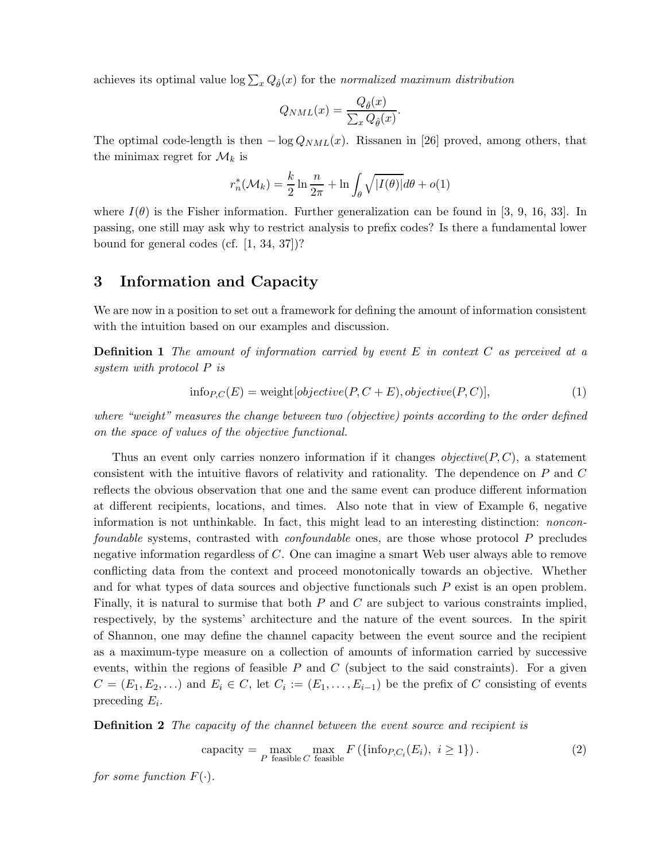achieves its optimal value  $\log \sum_{x} Q_{\hat{\theta}}(x)$  for the normalized maximum distribution

$$
Q_{NML}(x) = \frac{Q_{\hat{\theta}}(x)}{\sum_{x} Q_{\hat{\theta}}(x)}
$$

.

The optimal code-length is then  $-\log Q_{NML}(x)$ . Rissanen in [26] proved, among others, that the minimax regret for  $\mathcal{M}_k$  is

$$
r_n^*(\mathcal{M}_k) = \frac{k}{2} \ln \frac{n}{2\pi} + \ln \int_{\theta} \sqrt{|I(\theta)|} d\theta + o(1)
$$

where  $I(\theta)$  is the Fisher information. Further generalization can be found in [3, 9, 16, 33]. In passing, one still may ask why to restrict analysis to prefix codes? Is there a fundamental lower bound for general codes (cf. [1, 34, 37])?

#### 3 Information and Capacity

We are now in a position to set out a framework for defining the amount of information consistent with the intuition based on our examples and discussion.

**Definition 1** The amount of information carried by event  $E$  in context  $C$  as perceived at a system with protocol P is

$$
info_{P,C}(E) = weight[objective(P, C + E), objective(P, C)],
$$
\n(1)

where "weight" measures the change between two (objective) points according to the order defined on the space of values of the objective functional.

Thus an event only carries nonzero information if it changes *objective* $(P, C)$ , a statement consistent with the intuitive flavors of relativity and rationality. The dependence on  $P$  and  $C$ reflects the obvious observation that one and the same event can produce different information at different recipients, locations, and times. Also note that in view of Example 6, negative information is not unthinkable. In fact, this might lead to an interesting distinction: nonconfoundable systems, contrasted with confoundable ones, are those whose protocol P precludes negative information regardless of C. One can imagine a smart Web user always able to remove conflicting data from the context and proceed monotonically towards an objective. Whether and for what types of data sources and objective functionals such P exist is an open problem. Finally, it is natural to surmise that both  $P$  and  $C$  are subject to various constraints implied, respectively, by the systems' architecture and the nature of the event sources. In the spirit of Shannon, one may define the channel capacity between the event source and the recipient as a maximum-type measure on a collection of amounts of information carried by successive events, within the regions of feasible  $P$  and  $C$  (subject to the said constraints). For a given  $C = (E_1, E_2, \ldots)$  and  $E_i \in C$ , let  $C_i := (E_1, \ldots, E_{i-1})$  be the prefix of C consisting of events preceding  $E_i$ .

**Definition 2** The capacity of the channel between the event source and recipient is

$$
capacity = \max_{P \text{ feasible } C \text{ feasible}} F(\{ \text{info}_{P, C_i}(E_i), i \ge 1 \}). \tag{2}
$$

for some function  $F(\cdot)$ .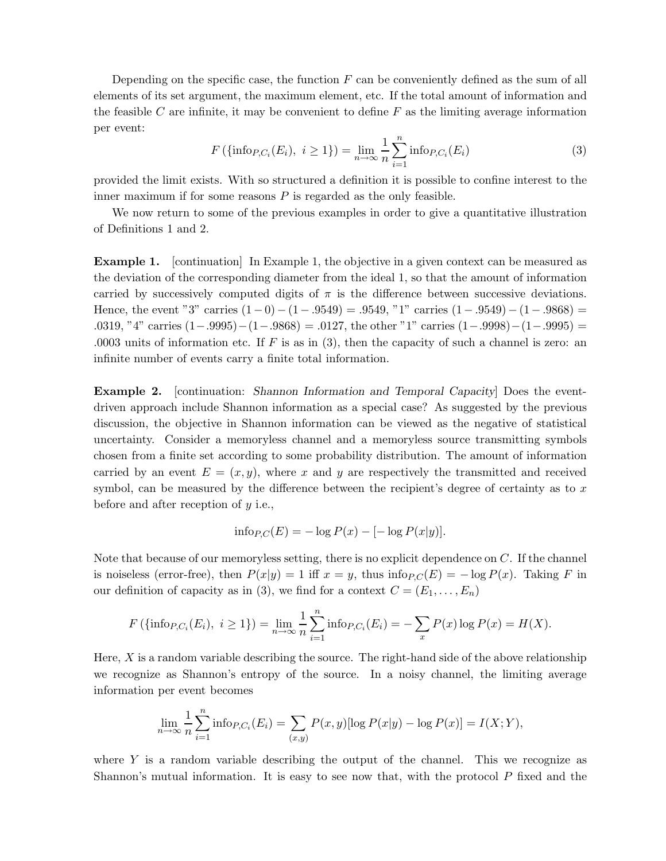Depending on the specific case, the function  $F$  can be conveniently defined as the sum of all elements of its set argument, the maximum element, etc. If the total amount of information and the feasible C are infinite, it may be convenient to define  $F$  as the limiting average information per event:

$$
F(\{\text{info}_{P,C_i}(E_i), i \ge 1\}) = \lim_{n \to \infty} \frac{1}{n} \sum_{i=1}^n \text{info}_{P,C_i}(E_i)
$$
 (3)

provided the limit exists. With so structured a definition it is possible to confine interest to the inner maximum if for some reasons  $P$  is regarded as the only feasible.

We now return to some of the previous examples in order to give a quantitative illustration of Definitions 1 and 2.

Example 1. [continuation] In Example 1, the objective in a given context can be measured as the deviation of the corresponding diameter from the ideal 1, so that the amount of information carried by successively computed digits of  $\pi$  is the difference between successive deviations. Hence, the event "3" carries  $(1-0) - (1-.9549) = .9549$ , "1" carries  $(1-.9549) - (1-.9868) =$ .0319, "4" carries  $(1-.9995)-(1-.9868) = .0127$ , the other "1" carries  $(1-.9998)-(1-.9995) =$ .0003 units of information etc. If  $F$  is as in (3), then the capacity of such a channel is zero: an infinite number of events carry a finite total information.

Example 2. [continuation: Shannon Information and Temporal Capacity] Does the eventdriven approach include Shannon information as a special case? As suggested by the previous discussion, the objective in Shannon information can be viewed as the negative of statistical uncertainty. Consider a memoryless channel and a memoryless source transmitting symbols chosen from a finite set according to some probability distribution. The amount of information carried by an event  $E = (x, y)$ , where x and y are respectively the transmitted and received symbol, can be measured by the difference between the recipient's degree of certainty as to  $x$ before and after reception of  $y$  i.e.,

$$
\text{info}_{P,C}(E) = -\log P(x) - [-\log P(x|y)].
$$

Note that because of our memoryless setting, there is no explicit dependence on C. If the channel is noiseless (error-free), then  $P(x|y) = 1$  iff  $x = y$ , thus info $P_C(E) = -\log P(x)$ . Taking F in our definition of capacity as in (3), we find for a context  $C = (E_1, \ldots, E_n)$ 

$$
F(\{\text{info}_{P,C_i}(E_i), i \ge 1\}) = \lim_{n \to \infty} \frac{1}{n} \sum_{i=1}^n \text{info}_{P,C_i}(E_i) = -\sum_x P(x) \log P(x) = H(X).
$$

Here,  $X$  is a random variable describing the source. The right-hand side of the above relationship we recognize as Shannon's entropy of the source. In a noisy channel, the limiting average information per event becomes

$$
\lim_{n \to \infty} \frac{1}{n} \sum_{i=1}^{n} \inf o_{P,C_i}(E_i) = \sum_{(x,y)} P(x,y) [\log P(x|y) - \log P(x)] = I(X;Y),
$$

where  $Y$  is a random variable describing the output of the channel. This we recognize as Shannon's mutual information. It is easy to see now that, with the protocol P fixed and the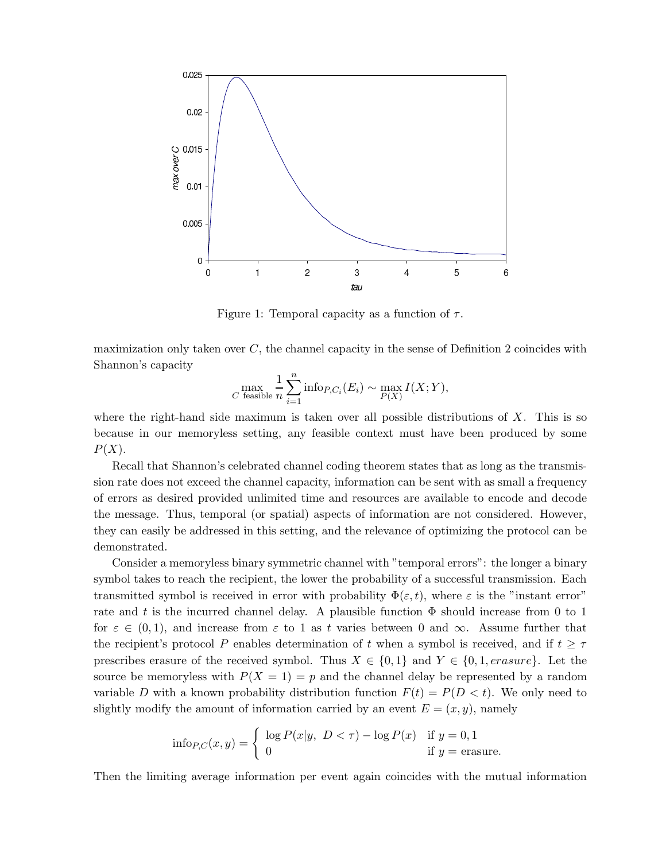

Figure 1: Temporal capacity as a function of  $\tau$ .

maximization only taken over  $C$ , the channel capacity in the sense of Definition 2 coincides with Shannon's capacity

$$
\max_{C \text{ feasible}} \frac{1}{n} \sum_{i=1}^{n} \text{info}_{P,C_i}(E_i) \sim \max_{P(X)} I(X;Y),
$$

where the right-hand side maximum is taken over all possible distributions of  $X$ . This is so because in our memoryless setting, any feasible context must have been produced by some  $P(X)$ .

Recall that Shannon's celebrated channel coding theorem states that as long as the transmission rate does not exceed the channel capacity, information can be sent with as small a frequency of errors as desired provided unlimited time and resources are available to encode and decode the message. Thus, temporal (or spatial) aspects of information are not considered. However, they can easily be addressed in this setting, and the relevance of optimizing the protocol can be demonstrated.

Consider a memoryless binary symmetric channel with "temporal errors": the longer a binary symbol takes to reach the recipient, the lower the probability of a successful transmission. Each transmitted symbol is received in error with probability  $\Phi(\varepsilon, t)$ , where  $\varepsilon$  is the "instant error" rate and t is the incurred channel delay. A plausible function  $\Phi$  should increase from 0 to 1 for  $\varepsilon \in (0,1)$ , and increase from  $\varepsilon$  to 1 as t varies between 0 and  $\infty$ . Assume further that the recipient's protocol P enables determination of t when a symbol is received, and if  $t \geq \tau$ prescribes erasure of the received symbol. Thus  $X \in \{0,1\}$  and  $Y \in \{0,1, erasure\}$ . Let the source be memoryless with  $P(X = 1) = p$  and the channel delay be represented by a random variable D with a known probability distribution function  $F(t) = P(D \lt t)$ . We only need to slightly modify the amount of information carried by an event  $E = (x, y)$ , namely

$$
\text{info}_{P,C}(x,y) = \begin{cases} \log P(x|y, \ D < \tau) - \log P(x) & \text{if } y = 0, 1\\ 0 & \text{if } y = \text{erasure.} \end{cases}
$$

Then the limiting average information per event again coincides with the mutual information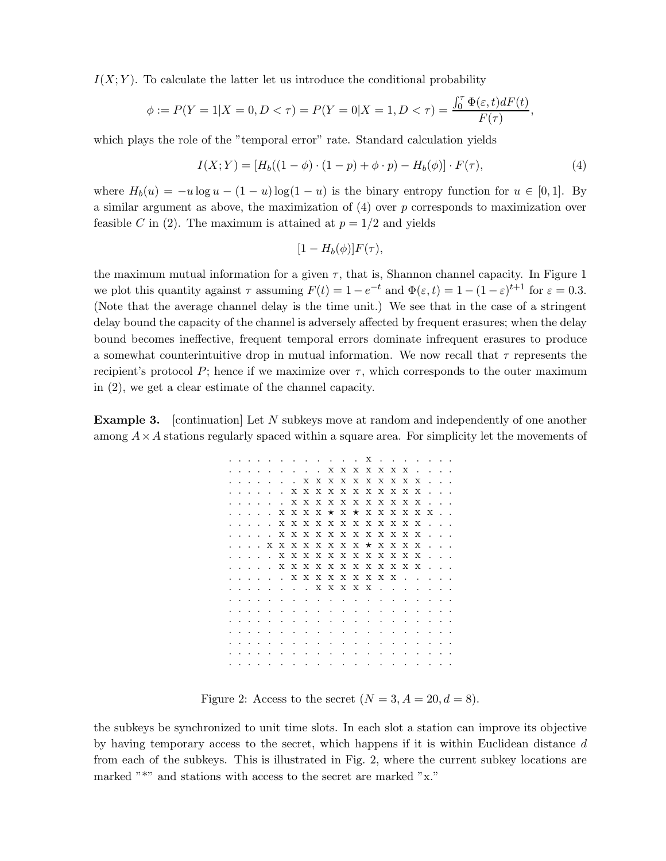$I(X; Y)$ . To calculate the latter let us introduce the conditional probability

$$
\phi := P(Y = 1 | X = 0, D < \tau) = P(Y = 0 | X = 1, D < \tau) = \frac{\int_0^{\tau} \Phi(\varepsilon, t) dF(t)}{F(\tau)}
$$

which plays the role of the "temporal error" rate. Standard calculation yields

$$
I(X;Y) = [H_b((1 - \phi) \cdot (1 - p) + \phi \cdot p) - H_b(\phi)] \cdot F(\tau), \tag{4}
$$

,

where  $H_b(u) = -u \log u - (1-u) \log(1-u)$  is the binary entropy function for  $u \in [0,1]$ . By a similar argument as above, the maximization of  $(4)$  over p corresponds to maximization over feasible C in (2). The maximum is attained at  $p = 1/2$  and yields

$$
[1-H_b(\phi)]F(\tau),
$$

the maximum mutual information for a given  $\tau$ , that is, Shannon channel capacity. In Figure 1 we plot this quantity against  $\tau$  assuming  $F(t) = 1 - e^{-t}$  and  $\Phi(\varepsilon, t) = 1 - (1 - \varepsilon)^{t+1}$  for  $\varepsilon = 0.3$ . (Note that the average channel delay is the time unit.) We see that in the case of a stringent delay bound the capacity of the channel is adversely affected by frequent erasures; when the delay bound becomes ineffective, frequent temporal errors dominate infrequent erasures to produce a somewhat counterintuitive drop in mutual information. We now recall that  $\tau$  represents the recipient's protocol P; hence if we maximize over  $\tau$ , which corresponds to the outer maximum in (2), we get a clear estimate of the channel capacity.

**Example 3.** [continuation] Let N subkeys move at random and independently of one another among  $A \times A$  stations regularly spaced within a square area. For simplicity let the movements of

|                      |                          |         |                                                |                                       |         | $\sim$ |  |  | . X                                                                                                                                                                                                                            |         |                          |                          |                          |                          |  |
|----------------------|--------------------------|---------|------------------------------------------------|---------------------------------------|---------|--------|--|--|--------------------------------------------------------------------------------------------------------------------------------------------------------------------------------------------------------------------------------|---------|--------------------------|--------------------------|--------------------------|--------------------------|--|
|                      | $\overline{\phantom{a}}$ |         | $\cdot$                                        | $\sim$                                |         |        |  |  | . <b>x x x x x x x x</b>                                                                                                                                                                                                       |         |                          |                          |                          | $\cdots$                 |  |
|                      | $\cdots$                 |         |                                                |                                       |         |        |  |  | $\ldots$ x x x x x x x x x x x                                                                                                                                                                                                 |         |                          |                          | $\sim$                   |                          |  |
|                      | $\cdots$                 |         |                                                |                                       |         |        |  |  | $X$ x x x x x x x x x x x                                                                                                                                                                                                      |         |                          |                          | $\sim$                   |                          |  |
|                      |                          |         |                                                | and a state of the state of the state |         |        |  |  | <b>X X X X X X X X X X X</b>                                                                                                                                                                                                   |         |                          |                          | $\sim$                   |                          |  |
|                      |                          |         |                                                |                                       |         |        |  |  | $\ldots$ x x x x $\star$ x $\star$ x x x x x x x                                                                                                                                                                               |         |                          |                          |                          |                          |  |
|                      |                          |         |                                                |                                       |         |        |  |  |                                                                                                                                                                                                                                |         |                          |                          |                          |                          |  |
|                      | $\sim$ $\sim$            |         | $\sim$ $\sim$                                  |                                       |         |        |  |  | x x x x x x x x x x x x                                                                                                                                                                                                        |         |                          |                          |                          |                          |  |
|                      |                          |         | $\sim$ $\sim$ $\sim$ $\sim$                    |                                       |         |        |  |  | <b>X X X X X X X X X X X X</b>                                                                                                                                                                                                 |         |                          |                          | $\sim$                   |                          |  |
|                      |                          |         |                                                |                                       |         |        |  |  | $\ldots$ x x x x x x x x $\star$ x x x x x                                                                                                                                                                                     |         |                          |                          | $\sim$                   |                          |  |
|                      |                          |         | $\mathbf{r}$ and $\mathbf{r}$ and $\mathbf{r}$ |                                       |         |        |  |  | <b>X X X X X X X X X X X X</b>                                                                                                                                                                                                 |         |                          |                          | $\sim$                   |                          |  |
|                      |                          |         |                                                |                                       |         |        |  |  | . <b>x x x x x x x x x x x x x</b>                                                                                                                                                                                             |         |                          |                          | $\sim$                   |                          |  |
|                      |                          |         |                                                |                                       |         |        |  |  | . X X X X X X X X X                                                                                                                                                                                                            |         | $\sim$                   | $\sim$ $\sim$ $\sim$     |                          | $\cdots$                 |  |
|                      | $\sim$ $\sim$            |         | $\sim$                                         |                                       |         |        |  |  | . X X X X X                                                                                                                                                                                                                    |         |                          |                          |                          | $\overline{\phantom{a}}$ |  |
|                      | $\sim$                   | $\sim$  | $\overline{\phantom{a}}$                       | $\overline{\phantom{a}}$              | $\sim$  |        |  |  | the contract of the contract of the contract of the contract of the contract of the contract of the contract of                                                                                                                |         | $\sim$                   | $\sim$                   | $\cdot$                  | $\sim$ $\sim$            |  |
|                      | $\cdots$                 |         | $\cdot$                                        | $\sim$                                | $\cdot$ |        |  |  | the company of the company of the company of the company of the company of the company of the company of the company of the company of the company of the company of the company of the company of the company of the company  |         |                          |                          | .                        |                          |  |
| $\cdot$              | $\ddot{\phantom{1}}$     |         | and the contract of the con-                   |                                       |         |        |  |  | the company of the company of the company of the company of the company of the company of the company of the company of the company of the company of the company of the company of the company of the company of the company  |         | <b>Contract Contract</b> |                          | $\sim$                   | $\cdots$                 |  |
| $\ddot{\phantom{0}}$ |                          |         |                                                |                                       |         |        |  |  | the contract of the contract of the contract of the contract of the contract of the contract of the contract of the contract of the contract of the contract of the contract of the contract of the contract of the contract o |         | $\overline{\phantom{a}}$ | $\sim$                   | $\sim$                   | $\cdots$                 |  |
| $\ddot{\phantom{0}}$ | $\cdot$                  | $\sim$  |                                                |                                       |         |        |  |  | the contract of the contract of the contract of the contract of the contract of the contract of the contract of                                                                                                                |         |                          |                          | $\sim$                   | $\cdot$ .                |  |
|                      | $\overline{\phantom{a}}$ | $\cdot$ | $\cdot$                                        | $\sim$                                | $\cdot$ | $\sim$ |  |  | the contract of the contract of the contract of the contract of the contract of the contract of the contract of                                                                                                                | $\cdot$ | $\overline{\phantom{a}}$ | $\overline{\phantom{a}}$ | $\overline{\phantom{a}}$ |                          |  |
|                      |                          |         | $\overline{\phantom{a}}$                       | <b>Contract Contract</b>              |         |        |  |  | the contract of the contract of the contract of the contract of the contract of the contract of the contract of                                                                                                                |         |                          |                          | $\sim$                   |                          |  |

Figure 2: Access to the secret  $(N = 3, A = 20, d = 8)$ .

the subkeys be synchronized to unit time slots. In each slot a station can improve its objective by having temporary access to the secret, which happens if it is within Euclidean distance d from each of the subkeys. This is illustrated in Fig. 2, where the current subkey locations are marked "\*" and stations with access to the secret are marked "x."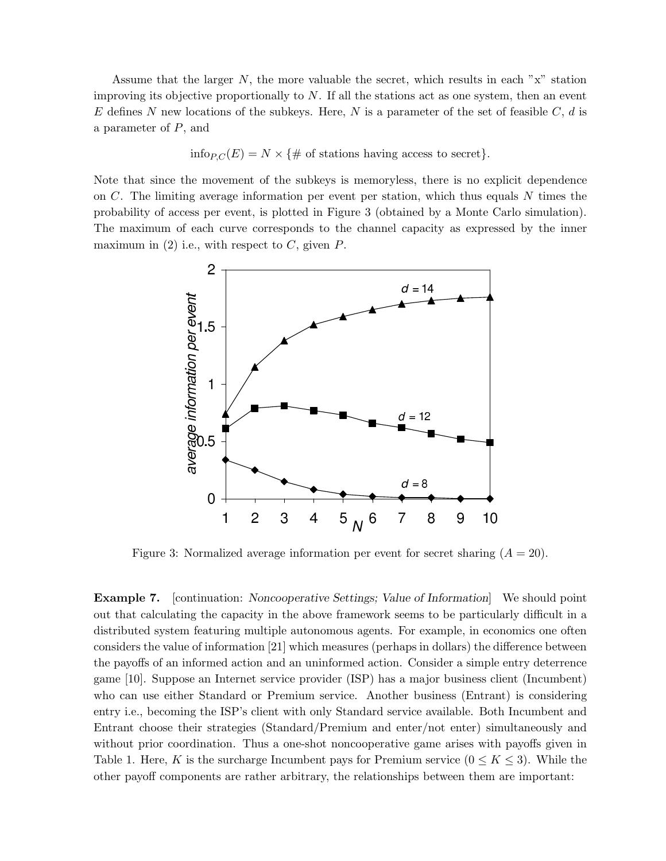Assume that the larger  $N$ , the more valuable the secret, which results in each " $x$ " station improving its objective proportionally to  $N$ . If all the stations act as one system, then an event E defines N new locations of the subkeys. Here, N is a parameter of the set of feasible  $C, d$  is a parameter of P, and

info<sub>P,C</sub>(E) =  $N \times \{$  # of stations having access to secret}.

Note that since the movement of the subkeys is memoryless, there is no explicit dependence on  $C$ . The limiting average information per event per station, which thus equals  $N$  times the probability of access per event, is plotted in Figure 3 (obtained by a Monte Carlo simulation). The maximum of each curve corresponds to the channel capacity as expressed by the inner maximum in  $(2)$  i.e., with respect to C, given P.



Figure 3: Normalized average information per event for secret sharing  $(A = 20)$ .

Example 7. [continuation: Noncooperative Settings; Value of Information] We should point out that calculating the capacity in the above framework seems to be particularly difficult in a distributed system featuring multiple autonomous agents. For example, in economics one often considers the value of information [21] which measures (perhaps in dollars) the difference between the payoffs of an informed action and an uninformed action. Consider a simple entry deterrence game [10]. Suppose an Internet service provider (ISP) has a major business client (Incumbent) who can use either Standard or Premium service. Another business (Entrant) is considering entry i.e., becoming the ISP's client with only Standard service available. Both Incumbent and Entrant choose their strategies (Standard/Premium and enter/not enter) simultaneously and without prior coordination. Thus a one-shot noncooperative game arises with payoffs given in Table 1. Here, K is the surcharge Incumbent pays for Premium service  $(0 \leq K \leq 3)$ . While the other payoff components are rather arbitrary, the relationships between them are important: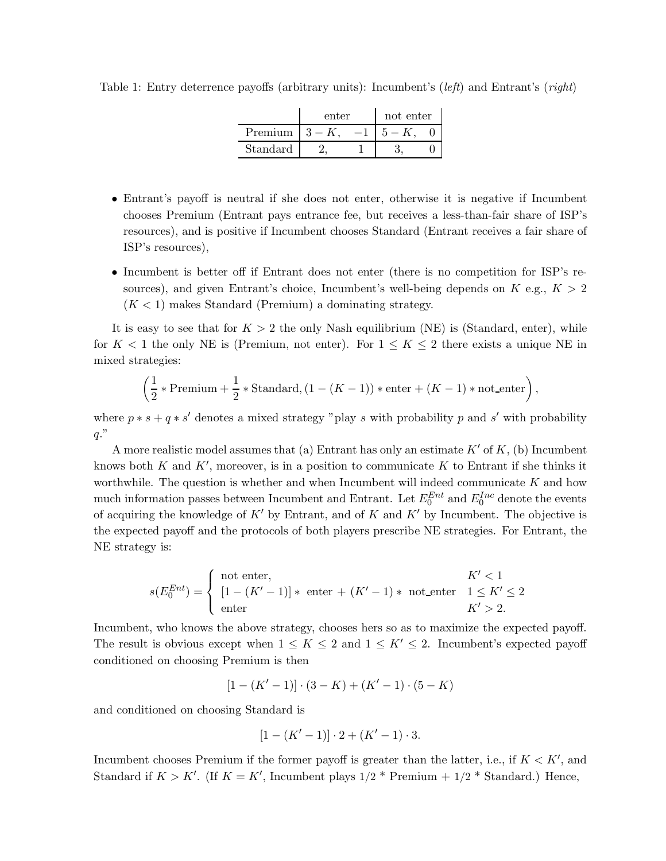|          | enter | not enter |  |  |  |  |  |  |  |  |
|----------|-------|-----------|--|--|--|--|--|--|--|--|
| Premium  | $-3-$ |           |  |  |  |  |  |  |  |  |
| Standard |       |           |  |  |  |  |  |  |  |  |

Table 1: Entry deterrence payoffs (arbitrary units): Incumbent's (*left*) and Entrant's (*right*)

- Entrant's payoff is neutral if she does not enter, otherwise it is negative if Incumbent chooses Premium (Entrant pays entrance fee, but receives a less-than-fair share of ISP's resources), and is positive if Incumbent chooses Standard (Entrant receives a fair share of ISP's resources),
- Incumbent is better off if Entrant does not enter (there is no competition for ISP's resources), and given Entrant's choice, Incumbent's well-being depends on  $K$  e.g.,  $K > 2$  $(K < 1)$  makes Standard (Premium) a dominating strategy.

It is easy to see that for  $K > 2$  the only Nash equilibrium (NE) is (Standard, enter), while for  $K < 1$  the only NE is (Premium, not enter). For  $1 \leq K \leq 2$  there exists a unique NE in mixed strategies:

$$
\left(\frac{1}{2}*\text{Premium}+\frac{1}{2}*\text{Standard},(1-(K-1))*\text{enter}+(K-1)*\text{not\_enter}\right),
$$

where  $p * s + q * s'$  denotes a mixed strategy "play s with probability p and s' with probability  $q$ ."

A more realistic model assumes that (a) Entrant has only an estimate  $K'$  of  $K$ , (b) Incumbent knows both  $K$  and  $K'$ , moreover, is in a position to communicate  $K$  to Entrant if she thinks it worthwhile. The question is whether and when Incumbent will indeed communicate  $K$  and how much information passes between Incumbent and Entrant. Let  $E_0^{Ent}$  and  $E_0^{Inc}$  denote the events of acquiring the knowledge of  $K'$  by Entrant, and of K and  $K'$  by Incumbent. The objective is the expected payoff and the protocols of both players prescribe NE strategies. For Entrant, the NE strategy is:

$$
s(E_0^{Ent}) = \begin{cases} \text{not enter,} \\ [1 - (K' - 1)] * \text{ enter } + (K' - 1) * \text{ not_{enter } 1 \le K' \le 2 \\ \text{enter } \\ K' > 2. \end{cases}
$$

Incumbent, who knows the above strategy, chooses hers so as to maximize the expected payoff. The result is obvious except when  $1 \leq K \leq 2$  and  $1 \leq K' \leq 2$ . Incumbent's expected payoff conditioned on choosing Premium is then

$$
[1-(K'-1)]\cdot(3-K)+(K'-1)\cdot(5-K)
$$

and conditioned on choosing Standard is

$$
[1 - (K' - 1)] \cdot 2 + (K' - 1) \cdot 3.
$$

Incumbent chooses Premium if the former payoff is greater than the latter, i.e., if  $K < K'$ , and Standard if  $K > K'$ . (If  $K = K'$ , Incumbent plays  $1/2$  \* Premium +  $1/2$  \* Standard.) Hence,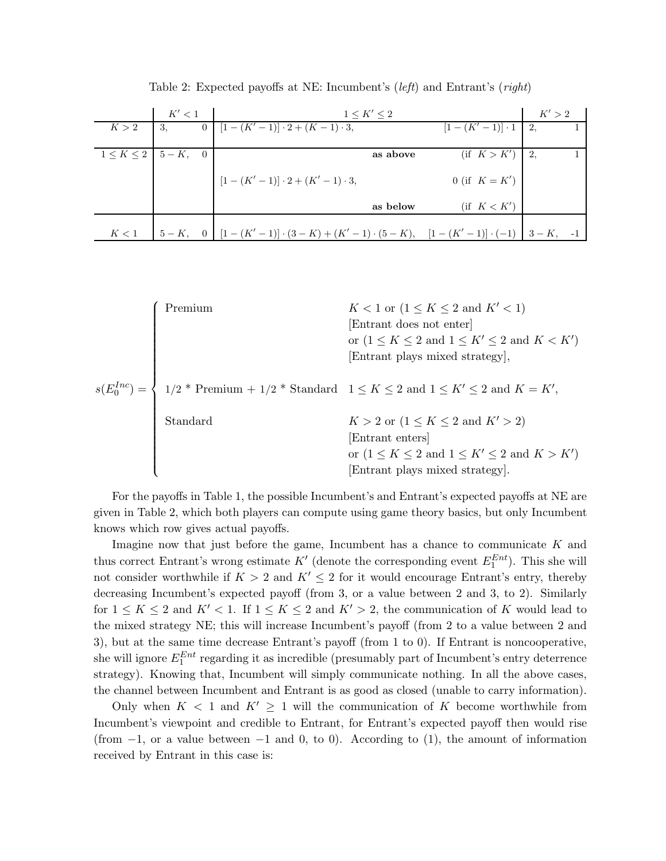|                                 | K' < 1 | $1 \leq K' \leq 2$                                                                                         | K' > 2                           |  |  |
|---------------------------------|--------|------------------------------------------------------------------------------------------------------------|----------------------------------|--|--|
| $K > 2$   3,                    |        | 0 $[1-(K'-1)] \cdot 2 + (K-1) \cdot 3,$                                                                    | $[1 - (K' - 1)] \cdot 1 \mid 2,$ |  |  |
| $1 \leq K \leq 2$   $5 - K$ , 0 |        | as above                                                                                                   | (if K > K')   2,                 |  |  |
|                                 |        | $[1 - (K' - 1)] \cdot 2 + (K' - 1) \cdot 3,$                                                               | 0 (if $K = K'$ )                 |  |  |
|                                 |        | as below                                                                                                   | $(f \ K < K')$                   |  |  |
|                                 |        |                                                                                                            |                                  |  |  |
| K<1                             |        | $5-K$ , 0 $\left[1-(K'-1)\right]\cdot(3-K)+(K'-1)\cdot(5-K)$ , $\left[1-(K'-1)\right]\cdot(-1)$ $3-K$ , -1 |                                  |  |  |

Table 2: Expected payoffs at NE: Incumbent's (*left*) and Entrant's (*right*)

$$
s(E_0^{Inc}) = \begin{cases} \text{Premium} & K < 1 \text{ or } (1 \leq K \leq 2 \text{ and } K' < 1) \\ & [\text{Entrant does not enter}] \\ & \text{or } (1 \leq K \leq 2 \text{ and } 1 \leq K' \leq 2 \text{ and } K < K') \\ & [\text{Entrant plays mixed strategy}], \\ 1/2 * \text{ Premium} + 1/2 * \text{Standard} & 1 \leq K \leq 2 \text{ and } 1 \leq K' \leq 2 \text{ and } K = K', \\ & \text{Standard} & K > 2 \text{ or } (1 \leq K \leq 2 \text{ and } K') > 2) \\ & [\text{Entrant enters}] \\ & \text{or } (1 \leq K \leq 2 \text{ and } 1 \leq K' \leq 2 \text{ and } K > K') \\ & [\text{Entrant plays mixed strategy}]. \end{cases}
$$

For the payoffs in Table 1, the possible Incumbent's and Entrant's expected payoffs at NE are given in Table 2, which both players can compute using game theory basics, but only Incumbent knows which row gives actual payoffs.

Imagine now that just before the game, Incumbent has a chance to communicate  $K$  and thus correct Entrant's wrong estimate  $K'$  (denote the corresponding event  $E_1^{Ent}$ ). This she will not consider worthwhile if  $K > 2$  and  $K' \leq 2$  for it would encourage Entrant's entry, thereby decreasing Incumbent's expected payoff (from 3, or a value between 2 and 3, to 2). Similarly for  $1 \leq K \leq 2$  and  $K' < 1$ . If  $1 \leq K \leq 2$  and  $K' > 2$ , the communication of K would lead to the mixed strategy NE; this will increase Incumbent's payoff (from 2 to a value between 2 and 3), but at the same time decrease Entrant's payoff (from 1 to 0). If Entrant is noncooperative, she will ignore  $E_1^{Ent}$  regarding it as incredible (presumably part of Incumbent's entry deterrence strategy). Knowing that, Incumbent will simply communicate nothing. In all the above cases, the channel between Incumbent and Entrant is as good as closed (unable to carry information).

Only when  $K < 1$  and  $K' \geq 1$  will the communication of K become worthwhile from Incumbent's viewpoint and credible to Entrant, for Entrant's expected payoff then would rise (from  $-1$ , or a value between  $-1$  and 0, to 0). According to (1), the amount of information received by Entrant in this case is: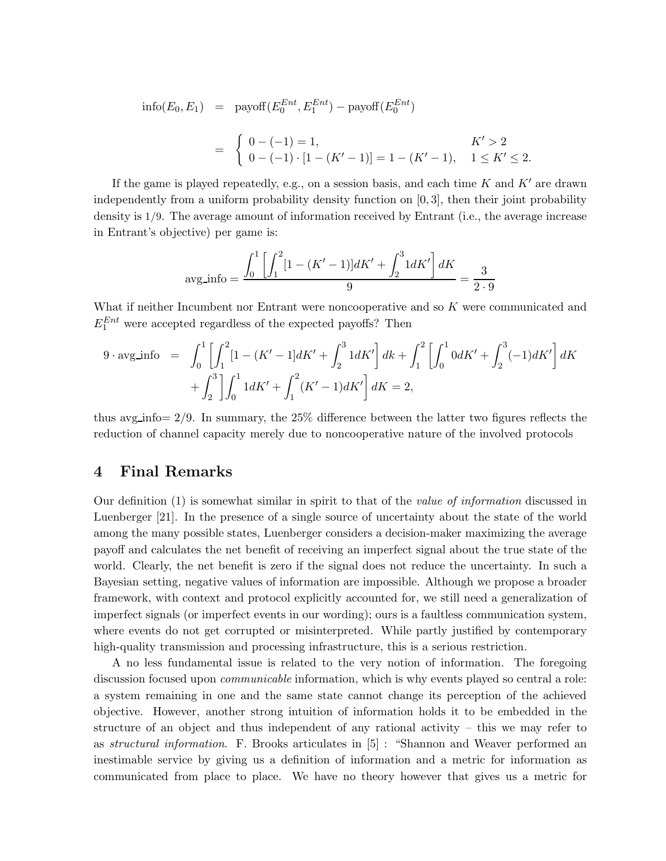$$
\text{info}(E_0, E_1) = \text{payoff}(E_0^{Ent}, E_1^{Ent}) - \text{payoff}(E_0^{Ent})
$$
\n
$$
= \begin{cases} 0 - (-1) = 1, & K' > 2\\ 0 - (-1) \cdot [1 - (K' - 1)] = 1 - (K' - 1), & 1 \le K' \le 2. \end{cases}
$$

If the game is played repeatedly, e.g., on a session basis, and each time  $K$  and  $K'$  are drawn independently from a uniform probability density function on [0, 3], then their joint probability density is 1/9. The average amount of information received by Entrant (i.e., the average increase in Entrant's objective) per game is:

$$
\text{avg} \cdot \text{info} = \frac{\int_0^1 \left[ \int_1^2 [1 - (K' - 1)] dK' + \int_2^3 1 dK' \right] dK}{9} = \frac{3}{2 \cdot 9}
$$

What if neither Incumbent nor Entrant were noncooperative and so K were communicated and  $E_1^{Ent}$  were accepted regardless of the expected payoffs? Then

$$
9 \cdot \text{avg} \cdot \text{info} = \int_0^1 \left[ \int_1^2 [1 - (K' - 1]dK' + \int_2^3 1dK' \right] dk + \int_1^2 \left[ \int_0^1 0dK' + \int_2^3 (-1)dK' \right] dK
$$

$$
+ \int_2^3 \left[ \int_0^1 1dK' + \int_1^2 (K' - 1)dK' \right] dK = 2,
$$

thus avg info=  $2/9$ . In summary, the  $25\%$  difference between the latter two figures reflects the reduction of channel capacity merely due to noncooperative nature of the involved protocols

#### 4 Final Remarks

Our definition (1) is somewhat similar in spirit to that of the value of information discussed in Luenberger [21]. In the presence of a single source of uncertainty about the state of the world among the many possible states, Luenberger considers a decision-maker maximizing the average payoff and calculates the net benefit of receiving an imperfect signal about the true state of the world. Clearly, the net benefit is zero if the signal does not reduce the uncertainty. In such a Bayesian setting, negative values of information are impossible. Although we propose a broader framework, with context and protocol explicitly accounted for, we still need a generalization of imperfect signals (or imperfect events in our wording); ours is a faultless communication system, where events do not get corrupted or misinterpreted. While partly justified by contemporary high-quality transmission and processing infrastructure, this is a serious restriction.

A no less fundamental issue is related to the very notion of information. The foregoing discussion focused upon *communicable* information, which is why events played so central a role: a system remaining in one and the same state cannot change its perception of the achieved objective. However, another strong intuition of information holds it to be embedded in the structure of an object and thus independent of any rational activity – this we may refer to as structural information. F. Brooks articulates in [5] : "Shannon and Weaver performed an inestimable service by giving us a definition of information and a metric for information as communicated from place to place. We have no theory however that gives us a metric for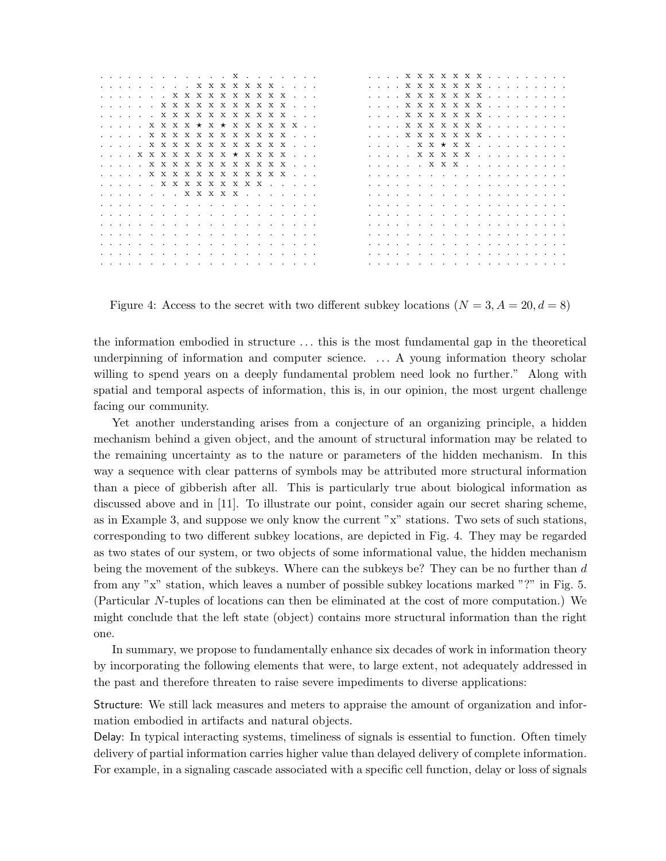|  |  |  | . X X X X X X X X X X                                                                                                                                                                                                          |  |  |  |  |  |  |
|--|--|--|--------------------------------------------------------------------------------------------------------------------------------------------------------------------------------------------------------------------------------|--|--|--|--|--|--|
|  |  |  | . x x x x x x x x x x x                                                                                                                                                                                                        |  |  |  |  |  |  |
|  |  |  | . x x x x x x x x x x x                                                                                                                                                                                                        |  |  |  |  |  |  |
|  |  |  | . x x x x * x * x x x x x x                                                                                                                                                                                                    |  |  |  |  |  |  |
|  |  |  |                                                                                                                                                                                                                                |  |  |  |  |  |  |
|  |  |  | . x x x x x x x x x x x x                                                                                                                                                                                                      |  |  |  |  |  |  |
|  |  |  | . <b>x x x x x x x x x x x x</b>                                                                                                                                                                                               |  |  |  |  |  |  |
|  |  |  | . x x x x x x x x * x x x x                                                                                                                                                                                                    |  |  |  |  |  |  |
|  |  |  | . x x x x x x x x x x x x                                                                                                                                                                                                      |  |  |  |  |  |  |
|  |  |  | . <b>x x x x x x x x x x x x</b>                                                                                                                                                                                               |  |  |  |  |  |  |
|  |  |  |                                                                                                                                                                                                                                |  |  |  |  |  |  |
|  |  |  |                                                                                                                                                                                                                                |  |  |  |  |  |  |
|  |  |  |                                                                                                                                                                                                                                |  |  |  |  |  |  |
|  |  |  |                                                                                                                                                                                                                                |  |  |  |  |  |  |
|  |  |  |                                                                                                                                                                                                                                |  |  |  |  |  |  |
|  |  |  | a caracteristic contracts of the contracts of the contracts of the contracts of the contracts of the contracts                                                                                                                 |  |  |  |  |  |  |
|  |  |  | a constitution of the contract of the contract of the contract of the contract of the contract of the contract of the contract of the contract of the contract of the contract of the contract of the contract of the contract |  |  |  |  |  |  |
|  |  |  | a constitution of the contract of the contract of the contract of the contract of the contract of the contract of the contract of the contract of the contract of the contract of the contract of the contract of the contract |  |  |  |  |  |  |
|  |  |  | a constitution of the contract of the contract of the contract of the contract of the contract of the contract of the contract of the contract of the contract of the contract of the contract of the contract of the contract |  |  |  |  |  |  |
|  |  |  |                                                                                                                                                                                                                                |  |  |  |  |  |  |
|  |  |  |                                                                                                                                                                                                                                |  |  |  |  |  |  |

Figure 4: Access to the secret with two different subkey locations  $(N = 3, A = 20, d = 8)$ 

the information embodied in structure . . . this is the most fundamental gap in the theoretical underpinning of information and computer science. . . . A young information theory scholar willing to spend years on a deeply fundamental problem need look no further." Along with spatial and temporal aspects of information, this is, in our opinion, the most urgent challenge facing our community.

Yet another understanding arises from a conjecture of an organizing principle, a hidden mechanism behind a given object, and the amount of structural information may be related to the remaining uncertainty as to the nature or parameters of the hidden mechanism. In this way a sequence with clear patterns of symbols may be attributed more structural information than a piece of gibberish after all. This is particularly true about biological information as discussed above and in [11]. To illustrate our point, consider again our secret sharing scheme, as in Example 3, and suppose we only know the current "x" stations. Two sets of such stations, corresponding to two different subkey locations, are depicted in Fig. 4. They may be regarded as two states of our system, or two objects of some informational value, the hidden mechanism being the movement of the subkeys. Where can the subkeys be? They can be no further than d from any "x" station, which leaves a number of possible subkey locations marked "?" in Fig. 5. (Particular N-tuples of locations can then be eliminated at the cost of more computation.) We might conclude that the left state (object) contains more structural information than the right one.

In summary, we propose to fundamentally enhance six decades of work in information theory by incorporating the following elements that were, to large extent, not adequately addressed in the past and therefore threaten to raise severe impediments to diverse applications:

Structure: We still lack measures and meters to appraise the amount of organization and information embodied in artifacts and natural objects.

Delay: In typical interacting systems, timeliness of signals is essential to function. Often timely delivery of partial information carries higher value than delayed delivery of complete information. For example, in a signaling cascade associated with a specific cell function, delay or loss of signals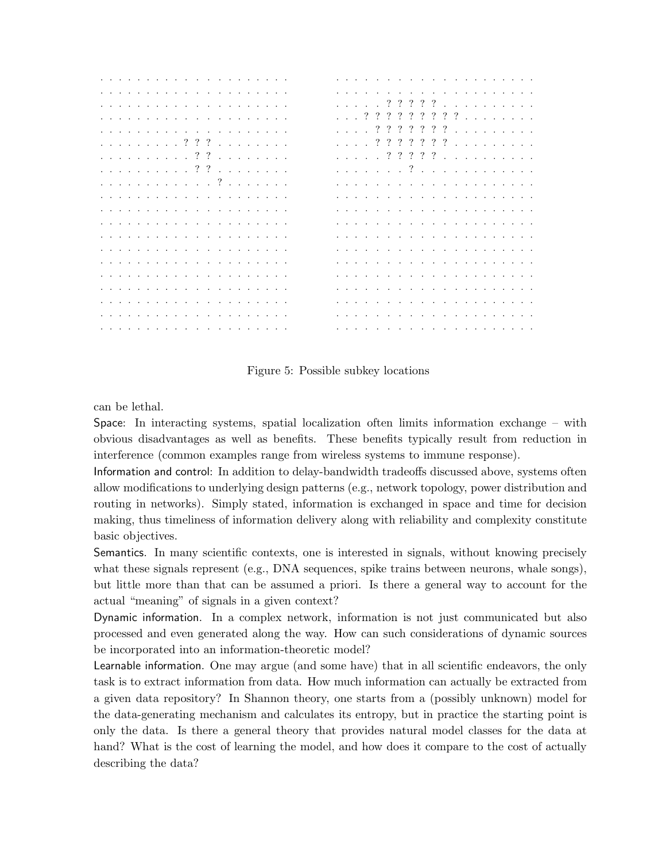| والمتعاونة والمتعاون والمتعاونة والمتعاونة والمتعاونة |  |  |  |  |  |  |  |  |  |  |                                                                |  |                                                      |  |  |  |  |  |
|-------------------------------------------------------|--|--|--|--|--|--|--|--|--|--|----------------------------------------------------------------|--|------------------------------------------------------|--|--|--|--|--|
|                                                       |  |  |  |  |  |  |  |  |  |  |                                                                |  |                                                      |  |  |  |  |  |
|                                                       |  |  |  |  |  |  |  |  |  |  |                                                                |  |                                                      |  |  |  |  |  |
|                                                       |  |  |  |  |  |  |  |  |  |  |                                                                |  |                                                      |  |  |  |  |  |
|                                                       |  |  |  |  |  |  |  |  |  |  |                                                                |  |                                                      |  |  |  |  |  |
| . ?                                                   |  |  |  |  |  |  |  |  |  |  |                                                                |  |                                                      |  |  |  |  |  |
|                                                       |  |  |  |  |  |  |  |  |  |  | المتحال والمتحال والمتحال والمتحال والمتحال والمتحال والمتحال  |  |                                                      |  |  |  |  |  |
|                                                       |  |  |  |  |  |  |  |  |  |  |                                                                |  |                                                      |  |  |  |  |  |
|                                                       |  |  |  |  |  |  |  |  |  |  |                                                                |  |                                                      |  |  |  |  |  |
|                                                       |  |  |  |  |  |  |  |  |  |  |                                                                |  |                                                      |  |  |  |  |  |
|                                                       |  |  |  |  |  |  |  |  |  |  |                                                                |  |                                                      |  |  |  |  |  |
|                                                       |  |  |  |  |  |  |  |  |  |  | المتحال والمتحال والمتحال والمتحال والمتحال والمتحال والمتحالة |  |                                                      |  |  |  |  |  |
|                                                       |  |  |  |  |  |  |  |  |  |  |                                                                |  |                                                      |  |  |  |  |  |
|                                                       |  |  |  |  |  |  |  |  |  |  | المتحال والمتحال والمتحال والمتحال والمتحال والمتحال والمتحال  |  |                                                      |  |  |  |  |  |
|                                                       |  |  |  |  |  |  |  |  |  |  | a de la carte de la carte de la carte de la carte de la        |  |                                                      |  |  |  |  |  |
|                                                       |  |  |  |  |  |  |  |  |  |  | a series and a series and a series and a series and            |  |                                                      |  |  |  |  |  |
|                                                       |  |  |  |  |  |  |  |  |  |  | and a construction of the construction of the                  |  |                                                      |  |  |  |  |  |
|                                                       |  |  |  |  |  |  |  |  |  |  |                                                                |  | a de la caractería de la caractería de la caractería |  |  |  |  |  |

Figure 5: Possible subkey locations

can be lethal.

Space: In interacting systems, spatial localization often limits information exchange – with obvious disadvantages as well as benefits. These benefits typically result from reduction in interference (common examples range from wireless systems to immune response).

Information and control: In addition to delay-bandwidth tradeoffs discussed above, systems often allow modifications to underlying design patterns (e.g., network topology, power distribution and routing in networks). Simply stated, information is exchanged in space and time for decision making, thus timeliness of information delivery along with reliability and complexity constitute basic objectives.

Semantics. In many scientific contexts, one is interested in signals, without knowing precisely what these signals represent (e.g., DNA sequences, spike trains between neurons, whale songs), but little more than that can be assumed a priori. Is there a general way to account for the actual "meaning" of signals in a given context?

Dynamic information. In a complex network, information is not just communicated but also processed and even generated along the way. How can such considerations of dynamic sources be incorporated into an information-theoretic model?

Learnable information. One may argue (and some have) that in all scientific endeavors, the only task is to extract information from data. How much information can actually be extracted from a given data repository? In Shannon theory, one starts from a (possibly unknown) model for the data-generating mechanism and calculates its entropy, but in practice the starting point is only the data. Is there a general theory that provides natural model classes for the data at hand? What is the cost of learning the model, and how does it compare to the cost of actually describing the data?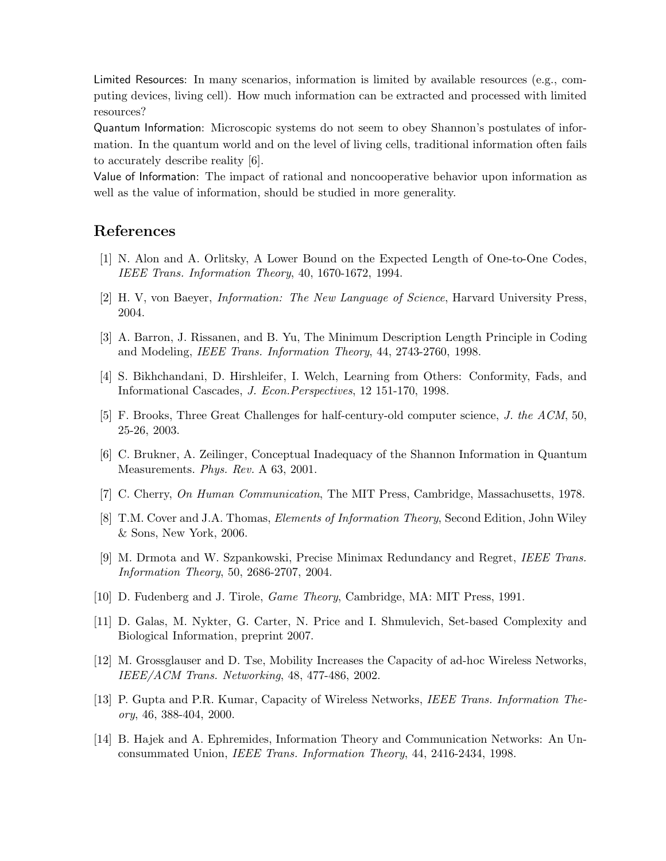Limited Resources: In many scenarios, information is limited by available resources (e.g., computing devices, living cell). How much information can be extracted and processed with limited resources?

Quantum Information: Microscopic systems do not seem to obey Shannon's postulates of information. In the quantum world and on the level of living cells, traditional information often fails to accurately describe reality [6].

Value of Information: The impact of rational and noncooperative behavior upon information as well as the value of information, should be studied in more generality.

### References

- [1] N. Alon and A. Orlitsky, A Lower Bound on the Expected Length of One-to-One Codes, IEEE Trans. Information Theory, 40, 1670-1672, 1994.
- [2] H. V, von Baeyer, Information: The New Language of Science, Harvard University Press, 2004.
- [3] A. Barron, J. Rissanen, and B. Yu, The Minimum Description Length Principle in Coding and Modeling, IEEE Trans. Information Theory, 44, 2743-2760, 1998.
- [4] S. Bikhchandani, D. Hirshleifer, I. Welch, Learning from Others: Conformity, Fads, and Informational Cascades, J. Econ.Perspectives, 12 151-170, 1998.
- [5] F. Brooks, Three Great Challenges for half-century-old computer science, J. the ACM, 50, 25-26, 2003.
- [6] C. Brukner, A. Zeilinger, Conceptual Inadequacy of the Shannon Information in Quantum Measurements. Phys. Rev. A 63, 2001.
- [7] C. Cherry, On Human Communication, The MIT Press, Cambridge, Massachusetts, 1978.
- [8] T.M. Cover and J.A. Thomas, Elements of Information Theory, Second Edition, John Wiley & Sons, New York, 2006.
- [9] M. Drmota and W. Szpankowski, Precise Minimax Redundancy and Regret, IEEE Trans. Information Theory, 50, 2686-2707, 2004.
- [10] D. Fudenberg and J. Tirole, Game Theory, Cambridge, MA: MIT Press, 1991.
- [11] D. Galas, M. Nykter, G. Carter, N. Price and I. Shmulevich, Set-based Complexity and Biological Information, preprint 2007.
- [12] M. Grossglauser and D. Tse, Mobility Increases the Capacity of ad-hoc Wireless Networks, IEEE/ACM Trans. Networking, 48, 477-486, 2002.
- [13] P. Gupta and P.R. Kumar, Capacity of Wireless Networks, IEEE Trans. Information Theory, 46, 388-404, 2000.
- [14] B. Hajek and A. Ephremides, Information Theory and Communication Networks: An Unconsummated Union, IEEE Trans. Information Theory, 44, 2416-2434, 1998.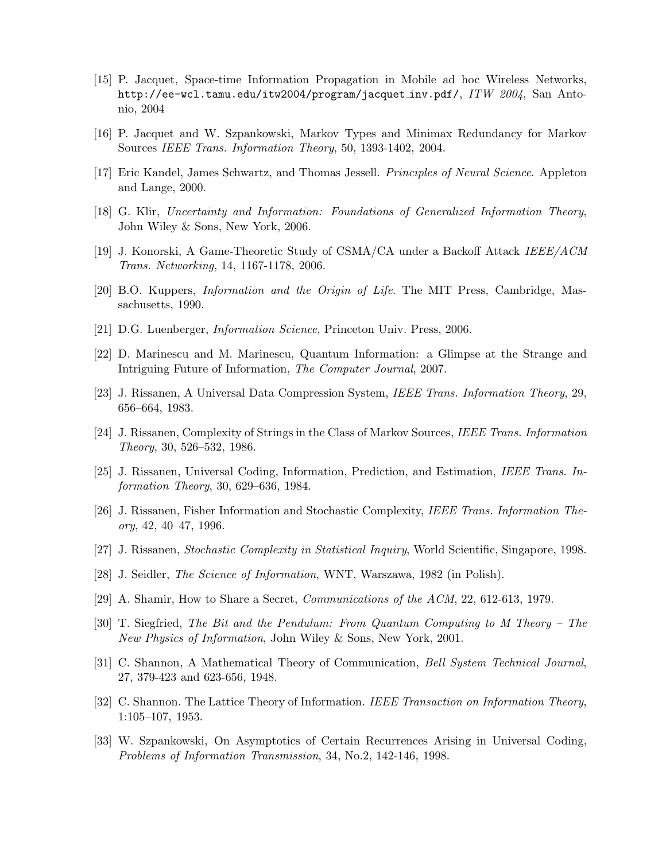- [15] P. Jacquet, Space-time Information Propagation in Mobile ad hoc Wireless Networks, http://ee-wcl.tamu.edu/itw2004/program/jacquet\_inv.pdf/, ITW 2004, San Antonio, 2004
- [16] P. Jacquet and W. Szpankowski, Markov Types and Minimax Redundancy for Markov Sources IEEE Trans. Information Theory, 50, 1393-1402, 2004.
- [17] Eric Kandel, James Schwartz, and Thomas Jessell. Principles of Neural Science. Appleton and Lange, 2000.
- [18] G. Klir, Uncertainty and Information: Foundations of Generalized Information Theory, John Wiley & Sons, New York, 2006.
- [19] J. Konorski, A Game-Theoretic Study of CSMA/CA under a Backoff Attack IEEE/ACM Trans. Networking, 14, 1167-1178, 2006.
- [20] B.O. Kuppers, Information and the Origin of Life. The MIT Press, Cambridge, Massachusetts, 1990.
- [21] D.G. Luenberger, Information Science, Princeton Univ. Press, 2006.
- [22] D. Marinescu and M. Marinescu, Quantum Information: a Glimpse at the Strange and Intriguing Future of Information, The Computer Journal, 2007.
- [23] J. Rissanen, A Universal Data Compression System, IEEE Trans. Information Theory, 29, 656–664, 1983.
- [24] J. Rissanen, Complexity of Strings in the Class of Markov Sources, IEEE Trans. Information Theory, 30, 526–532, 1986.
- [25] J. Rissanen, Universal Coding, Information, Prediction, and Estimation, IEEE Trans. Information Theory, 30, 629–636, 1984.
- [26] J. Rissanen, Fisher Information and Stochastic Complexity, IEEE Trans. Information Theory, 42, 40–47, 1996.
- [27] J. Rissanen, Stochastic Complexity in Statistical Inquiry, World Scientific, Singapore, 1998.
- [28] J. Seidler, *The Science of Information*, WNT, Warszawa, 1982 (in Polish).
- [29] A. Shamir, How to Share a Secret, Communications of the ACM, 22, 612-613, 1979.
- [30] T. Siegfried, The Bit and the Pendulum: From Quantum Computing to M Theory The New Physics of Information, John Wiley & Sons, New York, 2001.
- [31] C. Shannon, A Mathematical Theory of Communication, Bell System Technical Journal, 27, 379-423 and 623-656, 1948.
- [32] C. Shannon. The Lattice Theory of Information. IEEE Transaction on Information Theory, 1:105–107, 1953.
- [33] W. Szpankowski, On Asymptotics of Certain Recurrences Arising in Universal Coding, Problems of Information Transmission, 34, No.2, 142-146, 1998.